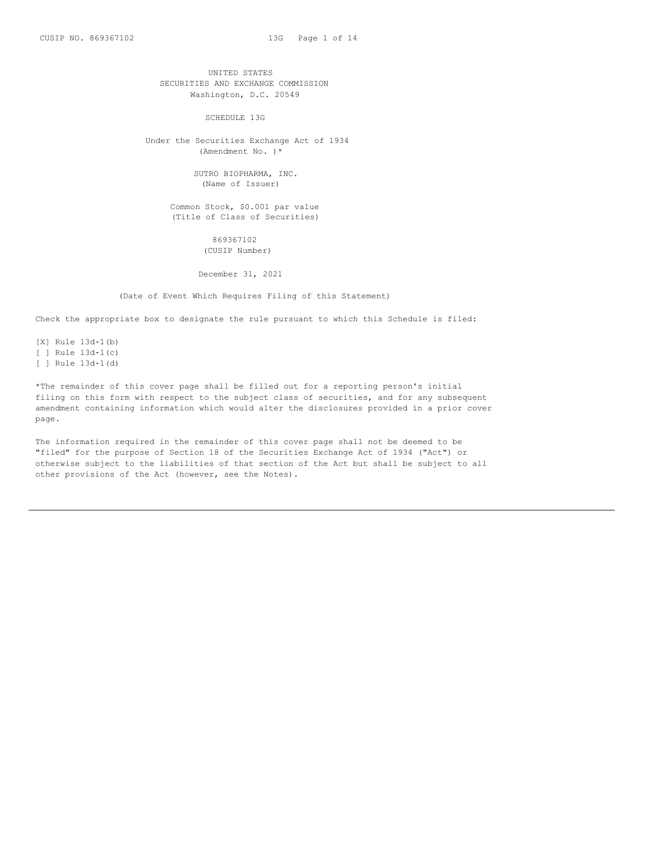UNITED STATES SECURITIES AND EXCHANGE COMMISSION Washington, D.C. 20549

SCHEDULE 13G

Under the Securities Exchange Act of 1934 (Amendment No. )\*

> SUTRO BIOPHARMA, INC. (Name of Issuer)

Common Stock, \$0.001 par value (Title of Class of Securities)

> 869367102 (CUSIP Number)

December 31, 2021

(Date of Event Which Requires Filing of this Statement)

Check the appropriate box to designate the rule pursuant to which this Schedule is filed:

[X] Rule 13d‑1(b) [ ] Rule 13d-1(c) [ ] Rule 13d-1(d)

\*The remainder of this cover page shall be filled out for a reporting person's initial filing on this form with respect to the subject class of securities, and for any subsequent amendment containing information which would alter the disclosures provided in a prior cover page.

The information required in the remainder of this cover page shall not be deemed to be "filed" for the purpose of Section 18 of the Securities Exchange Act of 1934 ("Act") or otherwise subject to the liabilities of that section of the Act but shall be subject to all other provisions of the Act (however, see the Notes).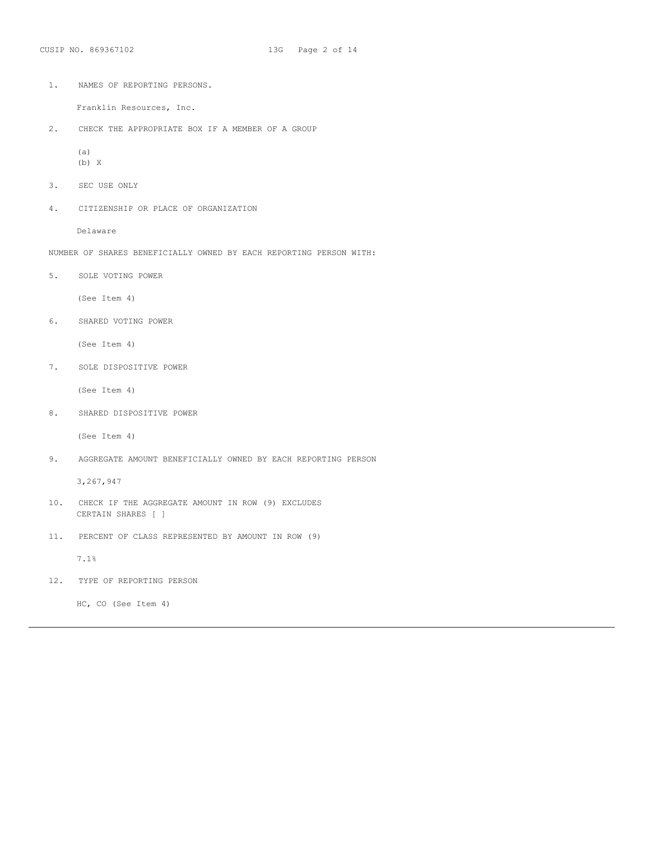- 1. NAMES OF REPORTING PERSONS.
	- Franklin Resources, Inc.
- 2. CHECK THE APPROPRIATE BOX IF A MEMBER OF A GROUP

(a)

- (b) X
- 3. SEC USE ONLY
- 4. CITIZENSHIP OR PLACE OF ORGANIZATION

Delaware

- NUMBER OF SHARES BENEFICIALLY OWNED BY EACH REPORTING PERSON WITH:
- 5. SOLE VOTING POWER

(See Item 4)

6. SHARED VOTING POWER

(See Item 4)

7. SOLE DISPOSITIVE POWER

(See Item 4)

8. SHARED DISPOSITIVE POWER

(See Item 4)

9. AGGREGATE AMOUNT BENEFICIALLY OWNED BY EACH REPORTING PERSON

3,267,947

- 10. CHECK IF THE AGGREGATE AMOUNT IN ROW (9) EXCLUDES CERTAIN SHARES [ ]
- 11. PERCENT OF CLASS REPRESENTED BY AMOUNT IN ROW (9)

7.1%

12. TYPE OF REPORTING PERSON

HC, CO (See Item 4)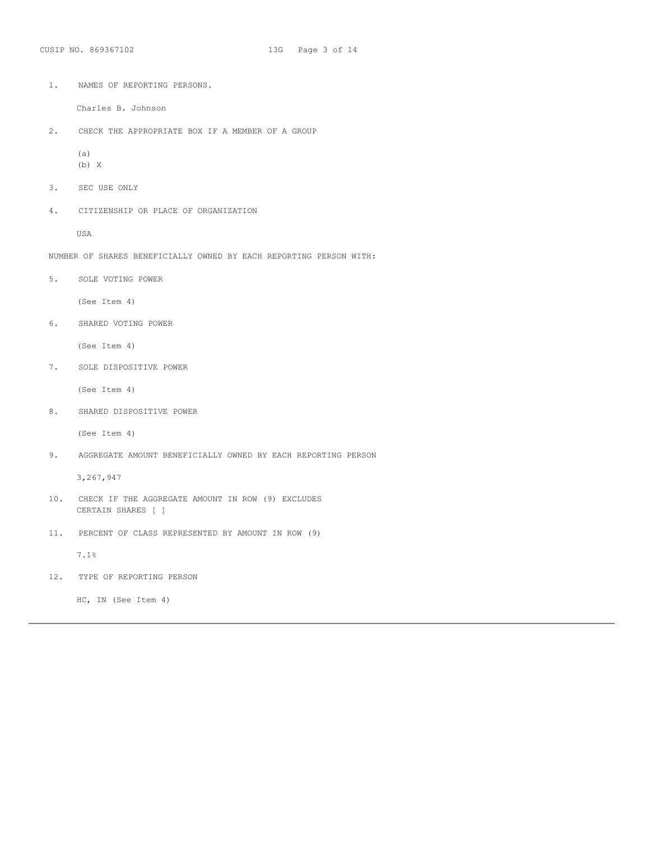1. NAMES OF REPORTING PERSONS.

Charles B. Johnson

2. CHECK THE APPROPRIATE BOX IF A MEMBER OF A GROUP

(a) (b) X

- 3. SEC USE ONLY
- 4. CITIZENSHIP OR PLACE OF ORGANIZATION

USA

NUMBER OF SHARES BENEFICIALLY OWNED BY EACH REPORTING PERSON WITH:

5. SOLE VOTING POWER

(See Item 4)

6. SHARED VOTING POWER

(See Item 4)

7. SOLE DISPOSITIVE POWER

(See Item 4)

8. SHARED DISPOSITIVE POWER

(See Item 4)

9. AGGREGATE AMOUNT BENEFICIALLY OWNED BY EACH REPORTING PERSON

3,267,947

- 10. CHECK IF THE AGGREGATE AMOUNT IN ROW (9) EXCLUDES CERTAIN SHARES [ ]
- 11. PERCENT OF CLASS REPRESENTED BY AMOUNT IN ROW (9)

7.1%

12. TYPE OF REPORTING PERSON

HC, IN (See Item 4)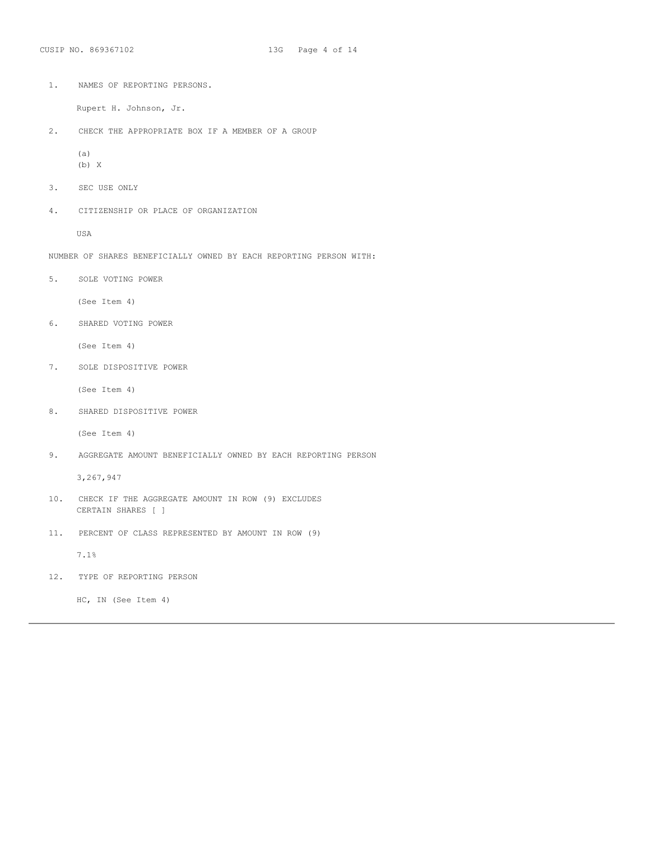1. NAMES OF REPORTING PERSONS.

Rupert H. Johnson, Jr.

2. CHECK THE APPROPRIATE BOX IF A MEMBER OF A GROUP

(a) (b) X

- 3. SEC USE ONLY
- 4. CITIZENSHIP OR PLACE OF ORGANIZATION

USA

NUMBER OF SHARES BENEFICIALLY OWNED BY EACH REPORTING PERSON WITH:

5. SOLE VOTING POWER

(See Item 4)

6. SHARED VOTING POWER

(See Item 4)

7. SOLE DISPOSITIVE POWER

(See Item 4)

8. SHARED DISPOSITIVE POWER

(See Item 4)

9. AGGREGATE AMOUNT BENEFICIALLY OWNED BY EACH REPORTING PERSON

3,267,947

- 10. CHECK IF THE AGGREGATE AMOUNT IN ROW (9) EXCLUDES CERTAIN SHARES [ ]
- 11. PERCENT OF CLASS REPRESENTED BY AMOUNT IN ROW (9)

7.1%

12. TYPE OF REPORTING PERSON

HC, IN (See Item 4)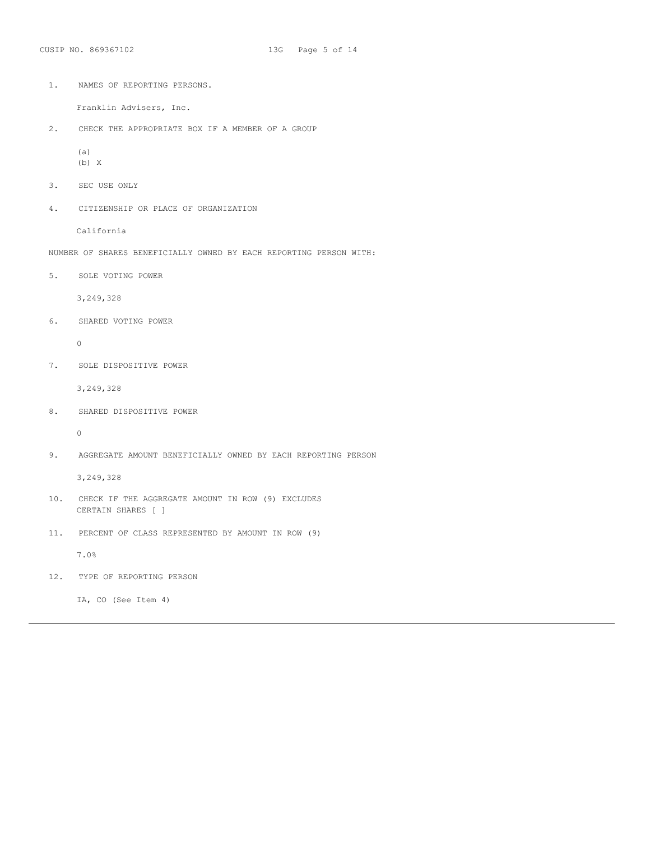- 1. NAMES OF REPORTING PERSONS.
	- Franklin Advisers, Inc.
- 2. CHECK THE APPROPRIATE BOX IF A MEMBER OF A GROUP

(a)

- (b) X
- 3. SEC USE ONLY
- 4. CITIZENSHIP OR PLACE OF ORGANIZATION

California

NUMBER OF SHARES BENEFICIALLY OWNED BY EACH REPORTING PERSON WITH:

5. SOLE VOTING POWER

3,249,328

6. SHARED VOTING POWER

 $\Omega$ 

7. SOLE DISPOSITIVE POWER

3,249,328

8. SHARED DISPOSITIVE POWER

0

9. AGGREGATE AMOUNT BENEFICIALLY OWNED BY EACH REPORTING PERSON

3,249,328

- 10. CHECK IF THE AGGREGATE AMOUNT IN ROW (9) EXCLUDES CERTAIN SHARES [ ]
- 11. PERCENT OF CLASS REPRESENTED BY AMOUNT IN ROW (9)

7.0%

12. TYPE OF REPORTING PERSON

IA, CO (See Item 4)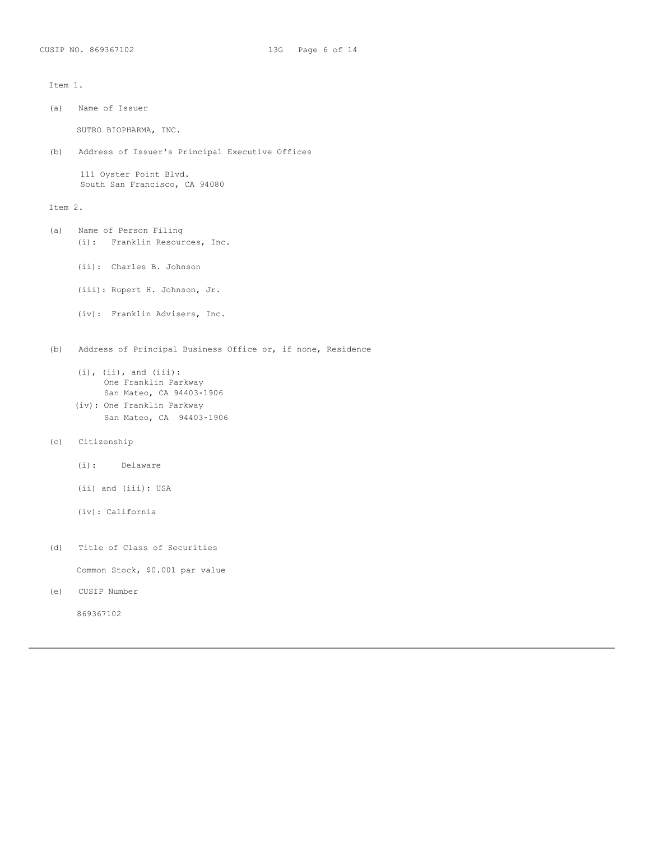```
Item 1.
(a) Name of Issuer
     SUTRO BIOPHARMA, INC.
(b) Address of Issuer's Principal Executive Offices
     111 Oyster Point Blvd.
      South San Francisco, CA 94080
Item 2.
(a) Name of Person Filing
     (i): Franklin Resources, Inc.
     (ii): Charles B. Johnson
     (iii): Rupert H. Johnson, Jr.
     (iv): Franklin Advisers, Inc.
(b) Address of Principal Business Office or, if none, Residence
```
- (i), (ii), and (iii): One Franklin Parkway San Mateo, CA 94403-1906 (iv): One Franklin Parkway
- San Mateo, CA 94403-1906
- (c) Citizenship
	- (i): Delaware
	- (ii) and (iii): USA
	- (iv): California
- (d) Title of Class of Securities

Common Stock, \$0.001 par value

(e) CUSIP Number

869367102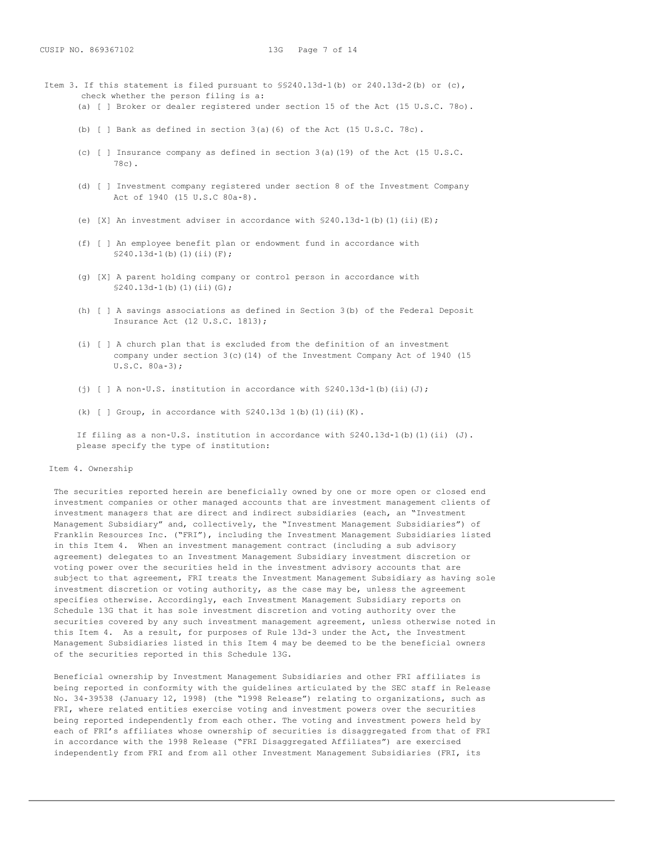- Item 3. If this statement is filed pursuant to  $\S240.13d-1(b)$  or  $240.13d-2(b)$  or (c), check whether the person filing is a:
	- (a) [ ] Broker or dealer registered under section 15 of the Act (15 U.S.C. 78o).
	- (b)  $[ ]$  Bank as defined in section 3(a)(6) of the Act (15 U.S.C. 78c).
	- (c) [ ] Insurance company as defined in section 3(a)(19) of the Act (15 U.S.C. 78c).
	- (d) [ ] Investment company registered under section 8 of the Investment Company Act of 1940 (15 U.S.C 80a‑8).
	- (e) [X] An investment adviser in accordance with  $$240.13d-1(b)(1(ii)(E);$
	- (f) [ ] An employee benefit plan or endowment fund in accordance with  $$240.13d-1(b)(1)(ii)(F);$
	- (g) [X] A parent holding company or control person in accordance with §240.13d-1(b)(1)(ii)(G);
	- (h) [ ] A savings associations as defined in Section 3(b) of the Federal Deposit Insurance Act (12 U.S.C. 1813);
	- (i) [ ] A church plan that is excluded from the definition of an investment company under section 3(c)(14) of the Investment Company Act of 1940 (15 U.S.C. 80a‑3);
	- (j) [ ] A non-U.S. institution in accordance with  $$240.13d-1(b)$  (ii)(J);
	- (k)  $[ ]$  Group, in accordance with  $$240.13d 1(b) (1) (ii) (K)$ .

If filing as a non-U.S. institution in accordance with  $$240.13d-1(b)(1)(ii)$  (J). please specify the type of institution:

#### Item 4. Ownership

The securities reported herein are beneficially owned by one or more open or closed end investment companies or other managed accounts that are investment management clients of investment managers that are direct and indirect subsidiaries (each, an "Investment Management Subsidiary" and, collectively, the "Investment Management Subsidiaries") of Franklin Resources Inc. ("FRI"), including the Investment Management Subsidiaries listed in this Item 4. When an investment management contract (including a sub advisory agreement) delegates to an Investment Management Subsidiary investment discretion or voting power over the securities held in the investment advisory accounts that are subject to that agreement, FRI treats the Investment Management Subsidiary as having sole investment discretion or voting authority, as the case may be, unless the agreement specifies otherwise. Accordingly, each Investment Management Subsidiary reports on Schedule 13G that it has sole investment discretion and voting authority over the securities covered by any such investment management agreement, unless otherwise noted in this Item 4. As a result, for purposes of Rule 13d-3 under the Act, the Investment Management Subsidiaries listed in this Item 4 may be deemed to be the beneficial owners of the securities reported in this Schedule 13G.

Beneficial ownership by Investment Management Subsidiaries and other FRI affiliates is being reported in conformity with the guidelines articulated by the SEC staff in Release No. 34‑39538 (January 12, 1998) (the "1998 Release") relating to organizations, such as FRI, where related entities exercise voting and investment powers over the securities being reported independently from each other. The voting and investment powers held by each of FRI's affiliates whose ownership of securities is disaggregated from that of FRI in accordance with the 1998 Release ("FRI Disaggregated Affiliates") are exercised independently from FRI and from all other Investment Management Subsidiaries (FRI, its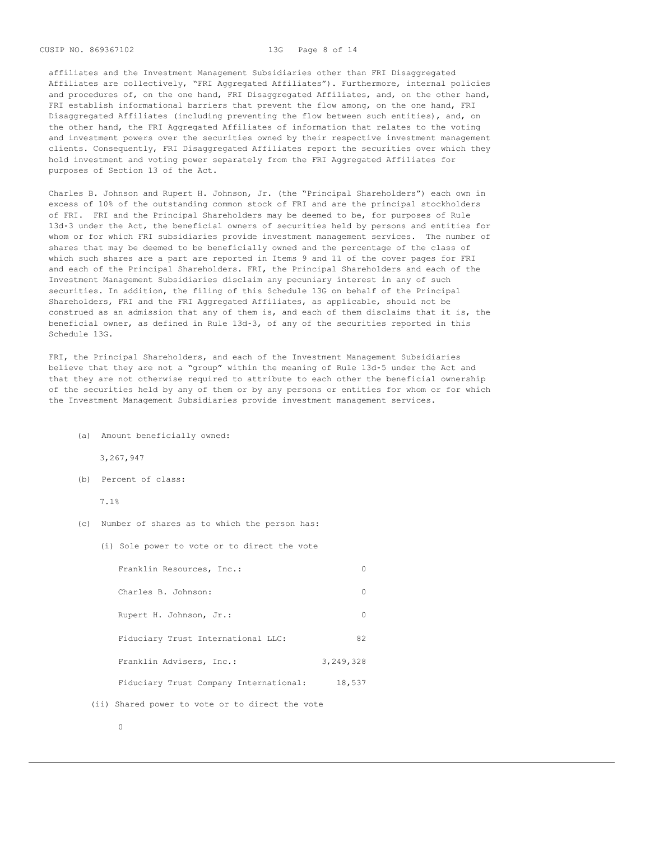affiliates and the Investment Management Subsidiaries other than FRI Disaggregated Affiliates are collectively, "FRI Aggregated Affiliates"). Furthermore, internal policies and procedures of, on the one hand, FRI Disaggregated Affiliates, and, on the other hand, FRI establish informational barriers that prevent the flow among, on the one hand, FRI Disaggregated Affiliates (including preventing the flow between such entities), and, on the other hand, the FRI Aggregated Affiliates of information that relates to the voting and investment powers over the securities owned by their respective investment management clients. Consequently, FRI Disaggregated Affiliates report the securities over which they hold investment and voting power separately from the FRI Aggregated Affiliates for purposes of Section 13 of the Act.

Charles B. Johnson and Rupert H. Johnson, Jr. (the "Principal Shareholders") each own in excess of 10% of the outstanding common stock of FRI and are the principal stockholders of FRI. FRI and the Principal Shareholders may be deemed to be, for purposes of Rule 13d-3 under the Act, the beneficial owners of securities held by persons and entities for whom or for which FRI subsidiaries provide investment management services. The number of shares that may be deemed to be beneficially owned and the percentage of the class of which such shares are a part are reported in Items 9 and 11 of the cover pages for FRI and each of the Principal Shareholders. FRI, the Principal Shareholders and each of the Investment Management Subsidiaries disclaim any pecuniary interest in any of such securities. In addition, the filing of this Schedule 13G on behalf of the Principal Shareholders, FRI and the FRI Aggregated Affiliates, as applicable, should not be construed as an admission that any of them is, and each of them disclaims that it is, the beneficial owner, as defined in Rule 13d‑3, of any of the securities reported in this Schedule 13G.

FRI, the Principal Shareholders, and each of the Investment Management Subsidiaries believe that they are not a "group" within the meaning of Rule 13d-5 under the Act and that they are not otherwise required to attribute to each other the beneficial ownership of the securities held by any of them or by any persons or entities for whom or for which the Investment Management Subsidiaries provide investment management services.

(a) Amount beneficially owned:

3,267,947

- (b) Percent of class:
	- 7.1%
- (c) Number of shares as to which the person has:
	- (i) Sole power to vote or to direct the vote

| Franklin Resources, Inc.:              |           |
|----------------------------------------|-----------|
| Charles B. Johnson:                    |           |
| Rupert H. Johnson, Jr.:                |           |
| Fiduciary Trust International LLC:     | 82        |
| Franklin Advisers, Inc.:               | 3.249.328 |
| Fiduciary Trust Company International: | 18,537    |
|                                        |           |

(ii) Shared power to vote or to direct the vote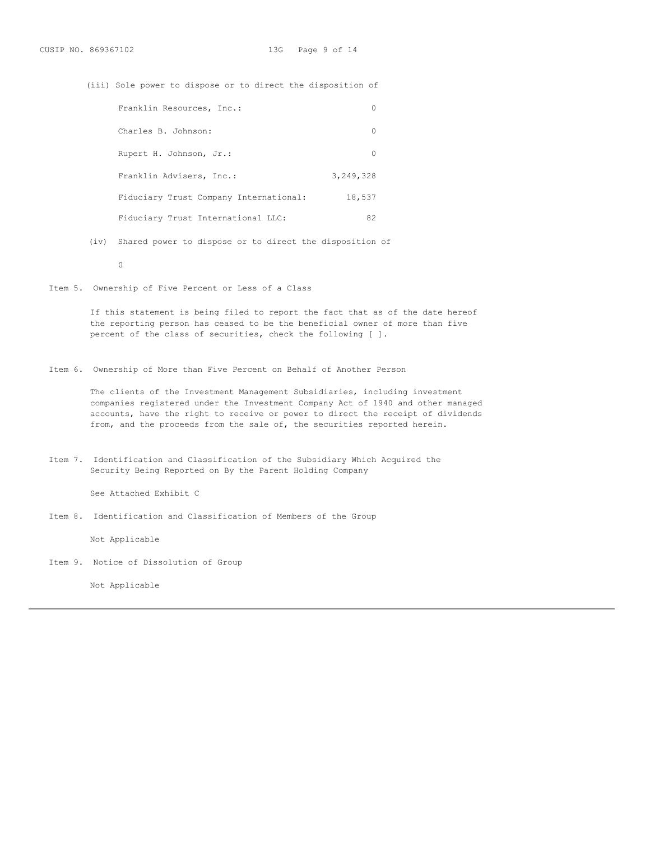(iii) Sole power to dispose or to direct the disposition of

| Franklin Resources, Inc.:              |           |
|----------------------------------------|-----------|
| Charles B. Johnson:                    |           |
| Rupert H. Johnson, Jr.:                |           |
| Franklin Advisers, Inc.:               | 3,249,328 |
| Fiduciary Trust Company International: | 18,537    |
| Fiduciary Trust International LLC:     | 82        |

(iv) Shared power to dispose or to direct the disposition of

 $\Omega$ 

Item 5. Ownership of Five Percent or Less of a Class

If this statement is being filed to report the fact that as of the date hereof the reporting person has ceased to be the beneficial owner of more than five percent of the class of securities, check the following [ ].

Item 6. Ownership of More than Five Percent on Behalf of Another Person

The clients of the Investment Management Subsidiaries, including investment companies registered under the Investment Company Act of 1940 and other managed accounts, have the right to receive or power to direct the receipt of dividends from, and the proceeds from the sale of, the securities reported herein.

Item 7. Identification and Classification of the Subsidiary Which Acquired the Security Being Reported on By the Parent Holding Company

See Attached Exhibit C

Item 8. Identification and Classification of Members of the Group

Not Applicable

Item 9. Notice of Dissolution of Group

Not Applicable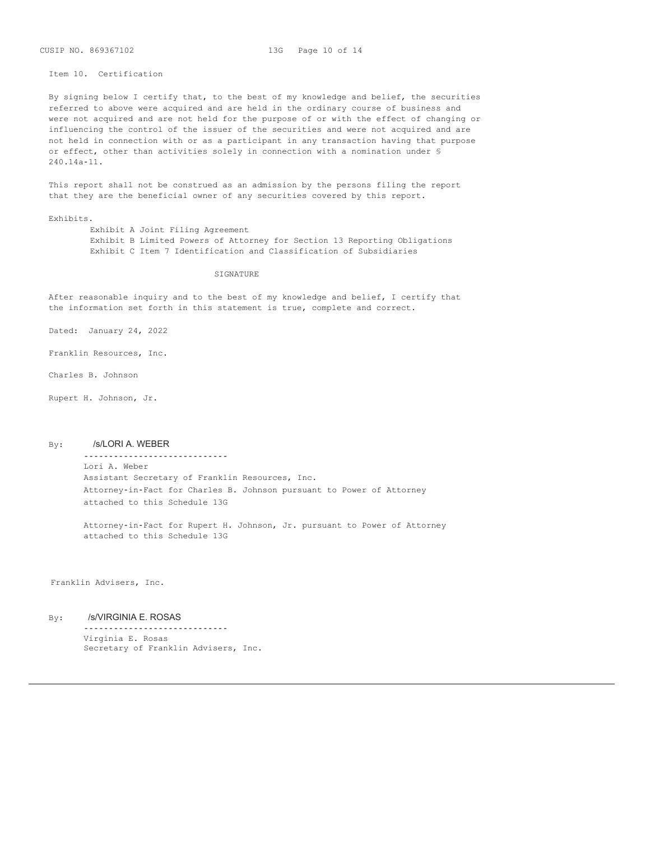CUSIP NO. 869367102 13G Page 10 of 14

Item 10. Certification

By signing below I certify that, to the best of my knowledge and belief, the securities referred to above were acquired and are held in the ordinary course of business and were not acquired and are not held for the purpose of or with the effect of changing or influencing the control of the issuer of the securities and were not acquired and are not held in connection with or as a participant in any transaction having that purpose or effect, other than activities solely in connection with a nomination under § 240.14a‑11.

This report shall not be construed as an admission by the persons filing the report that they are the beneficial owner of any securities covered by this report.

Exhibits.

Exhibit A Joint Filing Agreement Exhibit B Limited Powers of Attorney for Section 13 Reporting Obligations Exhibit C Item 7 Identification and Classification of Subsidiaries

SIGNATURE

After reasonable inquiry and to the best of my knowledge and belief, I certify that the information set forth in this statement is true, complete and correct.

Dated: January 24, 2022

Franklin Resources, Inc.

Charles B. Johnson

Rupert H. Johnson, Jr.

By: /s/LORI A. WEBER

‑‑‑‑‑‑‑‑‑‑‑‑‑‑‑‑‑‑‑‑‑‑‑‑‑‑‑‑‑ Lori A. Weber Assistant Secretary of Franklin Resources, Inc. Attorney‑in‑Fact for Charles B. Johnson pursuant to Power of Attorney attached to this Schedule 13G

Attorney-in-Fact for Rupert H. Johnson, Jr. pursuant to Power of Attorney attached to this Schedule 13G

Franklin Advisers, Inc.

#### By: /s/VIRGINIA E. ROSAS

‑‑‑‑‑‑‑‑‑‑‑‑‑‑‑‑‑‑‑‑‑‑‑‑‑‑‑‑‑ Virginia E. Rosas Secretary of Franklin Advisers, Inc.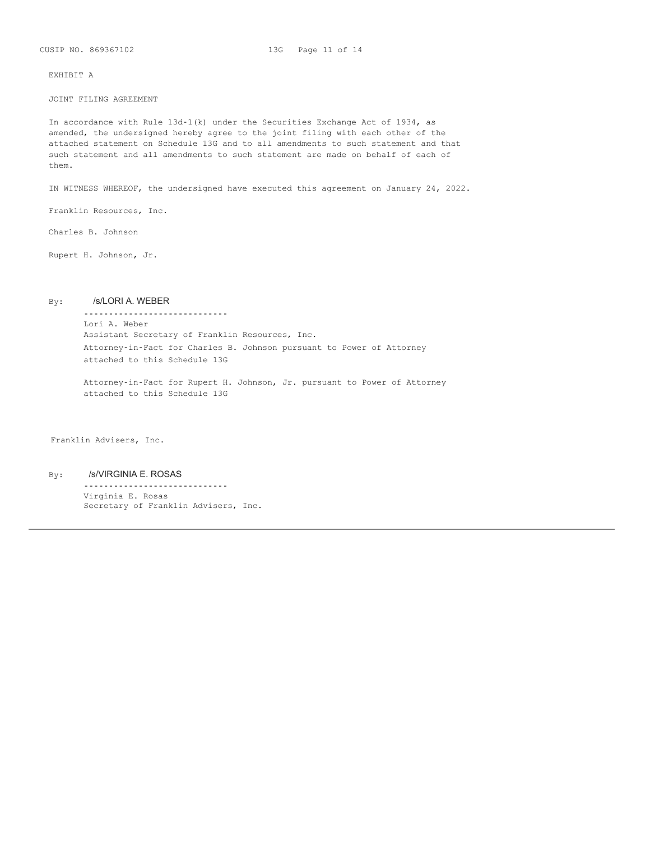EXHIBIT A

### JOINT FILING AGREEMENT

In accordance with Rule 13d-1(k) under the Securities Exchange Act of 1934, as amended, the undersigned hereby agree to the joint filing with each other of the attached statement on Schedule 13G and to all amendments to such statement and that such statement and all amendments to such statement are made on behalf of each of them.

IN WITNESS WHEREOF, the undersigned have executed this agreement on January 24, 2022.

Franklin Resources, Inc.

Charles B. Johnson

Rupert H. Johnson, Jr.

## By: /s/LORI A. WEBER

‑‑‑‑‑‑‑‑‑‑‑‑‑‑‑‑‑‑‑‑‑‑‑‑‑‑‑‑‑ Lori A. Weber Assistant Secretary of Franklin Resources, Inc. Attorney-in-Fact for Charles B. Johnson pursuant to Power of Attorney attached to this Schedule 13G

Attorney-in-Fact for Rupert H. Johnson, Jr. pursuant to Power of Attorney attached to this Schedule 13G

Franklin Advisers, Inc.

## By: /s/VIRGINIA E. ROSAS

‑‑‑‑‑‑‑‑‑‑‑‑‑‑‑‑‑‑‑‑‑‑‑‑‑‑‑‑‑ Virginia E. Rosas Secretary of Franklin Advisers, Inc.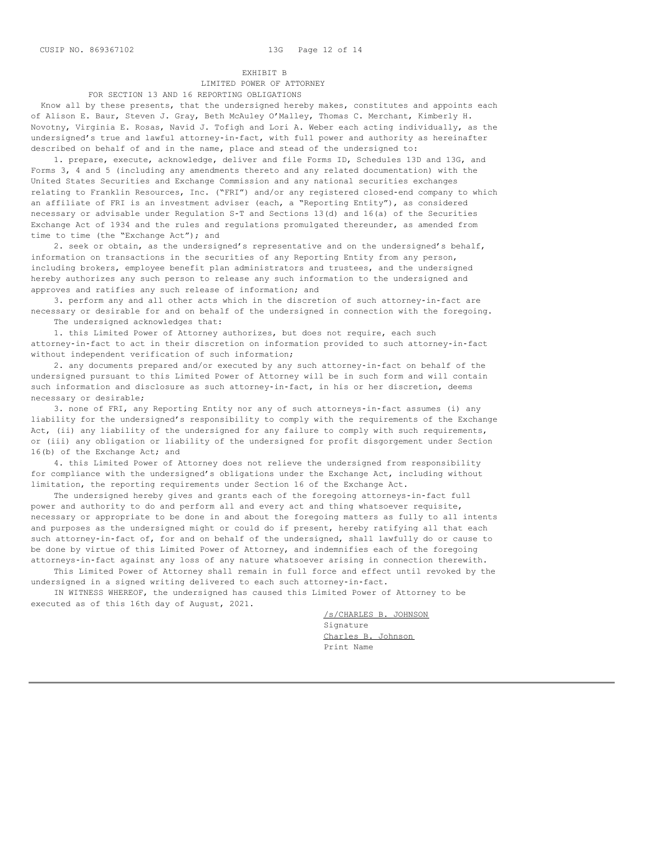# EXHIBIT B LIMITED POWER OF ATTORNEY

FOR SECTION 13 AND 16 REPORTING OBLIGATIONS

Know all by these presents, that the undersigned hereby makes, constitutes and appoints each of Alison E. Baur, Steven J. Gray, Beth McAuley O'Malley, Thomas C. Merchant, Kimberly H. Novotny, Virginia E. Rosas, Navid J. Tofigh and Lori A. Weber each acting individually, as the undersigned's true and lawful attorney-in-fact, with full power and authority as hereinafter described on behalf of and in the name, place and stead of the undersigned to:

1. prepare, execute, acknowledge, deliver and file Forms ID, Schedules 13D and 13G, and Forms 3, 4 and 5 (including any amendments thereto and any related documentation) with the United States Securities and Exchange Commission and any national securities exchanges relating to Franklin Resources, Inc. ("FRI") and/or any registered closed-end company to which an affiliate of FRI is an investment adviser (each, a "Reporting Entity"), as considered necessary or advisable under Regulation S‑T and Sections 13(d) and 16(a) of the Securities Exchange Act of 1934 and the rules and regulations promulgated thereunder, as amended from time to time (the "Exchange Act"); and

2. seek or obtain, as the undersigned's representative and on the undersigned's behalf, information on transactions in the securities of any Reporting Entity from any person, including brokers, employee benefit plan administrators and trustees, and the undersigned hereby authorizes any such person to release any such information to the undersigned and approves and ratifies any such release of information; and

3. perform any and all other acts which in the discretion of such attorney-in-fact are necessary or desirable for and on behalf of the undersigned in connection with the foregoing. The undersigned acknowledges that:

1. this Limited Power of Attorney authorizes, but does not require, each such attorney-in-fact to act in their discretion on information provided to such attorney-in-fact without independent verification of such information;

2. any documents prepared and/or executed by any such attorney-in-fact on behalf of the undersigned pursuant to this Limited Power of Attorney will be in such form and will contain such information and disclosure as such attorney-in-fact, in his or her discretion, deems necessary or desirable;

3. none of FRI, any Reporting Entity nor any of such attorneys-in-fact assumes (i) any liability for the undersigned's responsibility to comply with the requirements of the Exchange Act, (ii) any liability of the undersigned for any failure to comply with such requirements, or (iii) any obligation or liability of the undersigned for profit disgorgement under Section 16(b) of the Exchange Act; and

4. this Limited Power of Attorney does not relieve the undersigned from responsibility for compliance with the undersigned's obligations under the Exchange Act, including without limitation, the reporting requirements under Section 16 of the Exchange Act.

The undersigned hereby gives and grants each of the foregoing attorneys-in-fact full power and authority to do and perform all and every act and thing whatsoever requisite, necessary or appropriate to be done in and about the foregoing matters as fully to all intents and purposes as the undersigned might or could do if present, hereby ratifying all that each such attorney-in-fact of, for and on behalf of the undersigned, shall lawfully do or cause to be done by virtue of this Limited Power of Attorney, and indemnifies each of the foregoing attorneys-in-fact against any loss of any nature whatsoever arising in connection therewith.

This Limited Power of Attorney shall remain in full force and effect until revoked by the undersigned in a signed writing delivered to each such attorney-in-fact.

IN WITNESS WHEREOF, the undersigned has caused this Limited Power of Attorney to be executed as of this 16th day of August, 2021.

> /s/CHARLES B. JOHNSON Signature Charles B. Johnson Print Name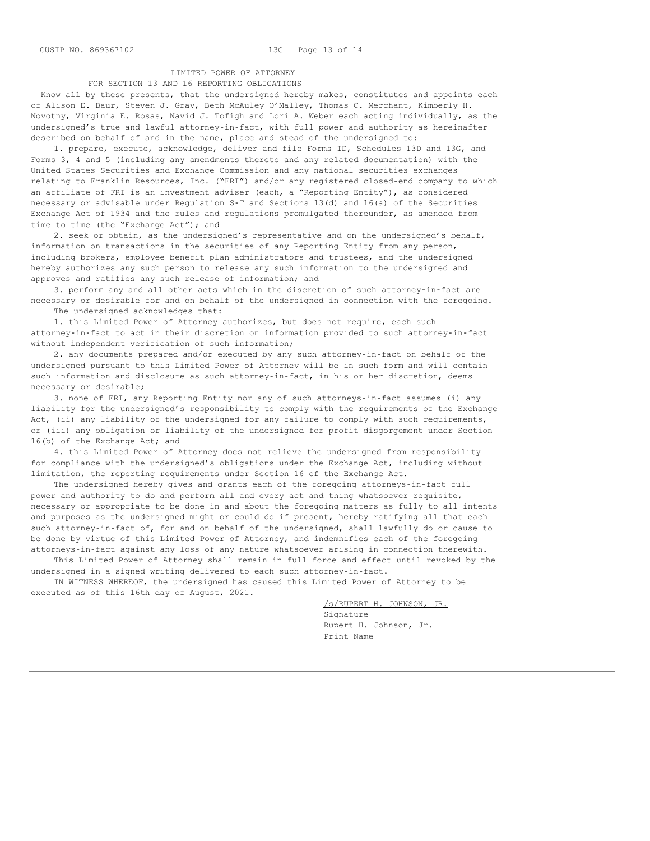#### LIMITED POWER OF ATTORNEY

FOR SECTION 13 AND 16 REPORTING OBLIGATIONS

Know all by these presents, that the undersigned hereby makes, constitutes and appoints each of Alison E. Baur, Steven J. Gray, Beth McAuley O'Malley, Thomas C. Merchant, Kimberly H. Novotny, Virginia E. Rosas, Navid J. Tofigh and Lori A. Weber each acting individually, as the undersigned's true and lawful attorney-in-fact, with full power and authority as hereinafter described on behalf of and in the name, place and stead of the undersigned to:

1. prepare, execute, acknowledge, deliver and file Forms ID, Schedules 13D and 13G, and Forms 3, 4 and 5 (including any amendments thereto and any related documentation) with the United States Securities and Exchange Commission and any national securities exchanges relating to Franklin Resources, Inc. ("FRI") and/or any registered closed-end company to which an affiliate of FRI is an investment adviser (each, a "Reporting Entity"), as considered necessary or advisable under Regulation S‑T and Sections 13(d) and 16(a) of the Securities Exchange Act of 1934 and the rules and regulations promulgated thereunder, as amended from time to time (the "Exchange Act"); and

2. seek or obtain, as the undersigned's representative and on the undersigned's behalf, information on transactions in the securities of any Reporting Entity from any person, including brokers, employee benefit plan administrators and trustees, and the undersigned hereby authorizes any such person to release any such information to the undersigned and approves and ratifies any such release of information; and

3. perform any and all other acts which in the discretion of such attorney-in-fact are necessary or desirable for and on behalf of the undersigned in connection with the foregoing. The undersigned acknowledges that:

1. this Limited Power of Attorney authorizes, but does not require, each such attorney-in-fact to act in their discretion on information provided to such attorney-in-fact without independent verification of such information;

2. any documents prepared and/or executed by any such attorney-in-fact on behalf of the undersigned pursuant to this Limited Power of Attorney will be in such form and will contain such information and disclosure as such attorney-in-fact, in his or her discretion, deems necessary or desirable;

3. none of FRI, any Reporting Entity nor any of such attorneys-in-fact assumes (i) any liability for the undersigned's responsibility to comply with the requirements of the Exchange Act, (ii) any liability of the undersigned for any failure to comply with such requirements, or (iii) any obligation or liability of the undersigned for profit disgorgement under Section 16(b) of the Exchange Act; and

4. this Limited Power of Attorney does not relieve the undersigned from responsibility for compliance with the undersigned's obligations under the Exchange Act, including without limitation, the reporting requirements under Section 16 of the Exchange Act.

The undersigned hereby gives and grants each of the foregoing attorneys-in-fact full power and authority to do and perform all and every act and thing whatsoever requisite, necessary or appropriate to be done in and about the foregoing matters as fully to all intents and purposes as the undersigned might or could do if present, hereby ratifying all that each such attorney-in-fact of, for and on behalf of the undersigned, shall lawfully do or cause to be done by virtue of this Limited Power of Attorney, and indemnifies each of the foregoing attorneys-in-fact against any loss of any nature whatsoever arising in connection therewith.

This Limited Power of Attorney shall remain in full force and effect until revoked by the undersigned in a signed writing delivered to each such attorney-in-fact.

IN WITNESS WHEREOF, the undersigned has caused this Limited Power of Attorney to be executed as of this 16th day of August, 2021.

/s/RUPERT H. JOHNSON, JR.

Signature Rupert H. Johnson, Jr. Print Name